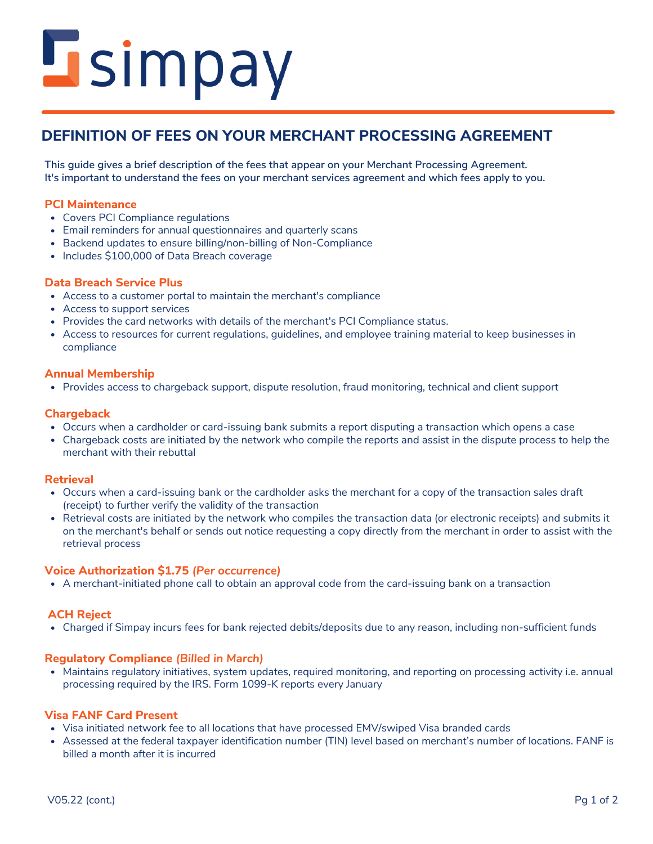# **L**simpay

# **DEFINITION OF FEES ON YOUR MERCHANT PROCESSING AGREEMENT**

**This guide gives a brief description of the fees that appear on your Merchant Processing Agreement. It's important to understand the fees on your merchant services agreement and which fees apply to you.**

# **PCI Maintenance**

- Covers PCI Compliance regulations
- Email reminders for annual questionnaires and quarterly scans
- Backend updates to ensure billing/non-billing of Non-Compliance
- Includes \$100,000 of Data Breach coverage

# **Data Breach Service Plus**

- Access to a customer portal to maintain the merchant's compliance
- Access to support services
- Provides the card networks with details of the merchant's PCI Compliance status.
- Access to resources for current regulations, guidelines, and employee training material to keep businesses in compliance

## **Annual Membership**

Provides access to chargeback support, dispute resolution, fraud monitoring, technical and client support

# **Chargeback**

- Occurs when a cardholder or card-issuing bank submits a report disputing a transaction which opens a case
- Chargeback costs are initiated by the network who compile the reports and assist in the dispute process to help the merchant with their rebuttal

## **Retrieval**

- Occurs when a card-issuing bank or the cardholder asks the merchant for a copy of the transaction sales draft (receipt) to further verify the validity of the transaction
- Retrieval costs are initiated by the network who compiles the transaction data (or electronic receipts) and submits it on the merchant's behalf or sends out notice requesting a copy directly from the merchant in order to assist with the retrieval process

# **Voice Authorization \$1.75** *(Per occurrence)*

A merchant-initiated phone call to obtain an approval code from the card-issuing bank on a transaction

# **ACH Reject**

Charged if Simpay incurs fees for bank rejected debits/deposits due to any reason, including non-sufficient funds

# **Regulatory Compliance** *(Billed in March)*

processing required by the IRS. Form 1099-K reports every January Maintains regulatory initiatives, system updates, required monitoring, and reporting on processing activity i.e. annual

# **Visa FANF Card Present**

- Visa initiated network fee to all locations that have processed EMV/swiped Visa branded cards
- Assessed at the federal taxpayer identification number (TIN) level based on merchant's number of locations. FANF is billed a month after it is incurred